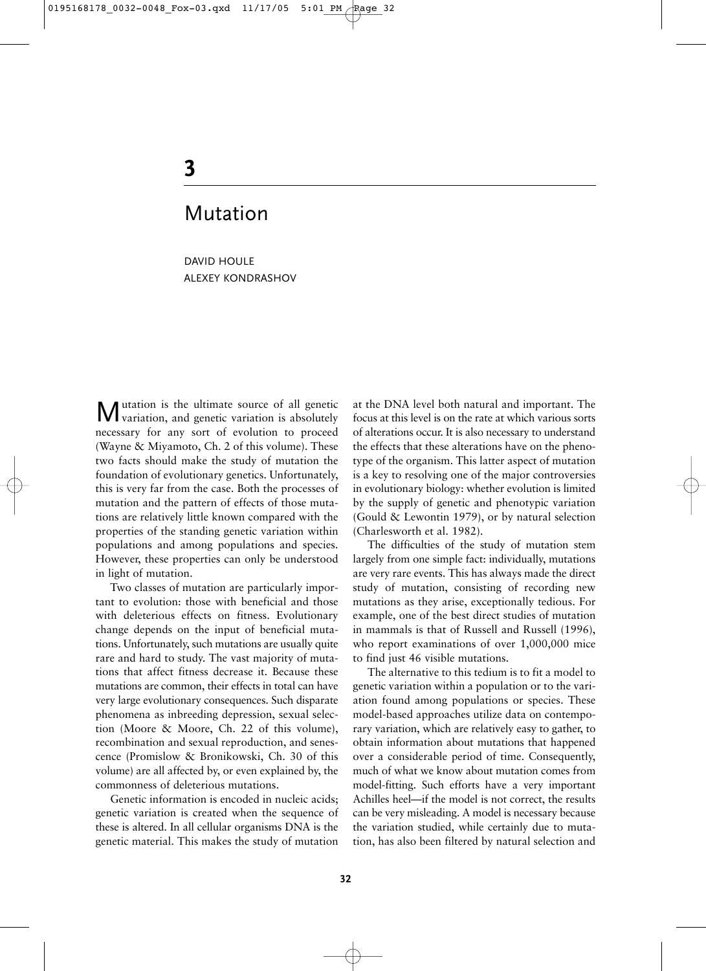# **3**

# Mutation

DAVID HOULE ALEXEY KONDRASHOV

Mutation is the ultimate source of all genetic variation, and genetic variation is absolutely necessary for any sort of evolution to proceed (Wayne & Miyamoto, Ch. 2 of this volume). These two facts should make the study of mutation the foundation of evolutionary genetics. Unfortunately, this is very far from the case. Both the processes of mutation and the pattern of effects of those mutations are relatively little known compared with the properties of the standing genetic variation within populations and among populations and species. However, these properties can only be understood in light of mutation.

Two classes of mutation are particularly important to evolution: those with beneficial and those with deleterious effects on fitness. Evolutionary change depends on the input of beneficial mutations. Unfortunately, such mutations are usually quite rare and hard to study. The vast majority of mutations that affect fitness decrease it. Because these mutations are common, their effects in total can have very large evolutionary consequences. Such disparate phenomena as inbreeding depression, sexual selection (Moore & Moore, Ch. 22 of this volume), recombination and sexual reproduction, and senescence (Promislow & Bronikowski, Ch. 30 of this volume) are all affected by, or even explained by, the commonness of deleterious mutations.

Genetic information is encoded in nucleic acids; genetic variation is created when the sequence of these is altered. In all cellular organisms DNA is the genetic material. This makes the study of mutation

at the DNA level both natural and important. The focus at this level is on the rate at which various sorts of alterations occur. It is also necessary to understand the effects that these alterations have on the phenotype of the organism. This latter aspect of mutation is a key to resolving one of the major controversies in evolutionary biology: whether evolution is limited by the supply of genetic and phenotypic variation (Gould & Lewontin 1979), or by natural selection (Charlesworth et al. 1982).

The difficulties of the study of mutation stem largely from one simple fact: individually, mutations are very rare events. This has always made the direct study of mutation, consisting of recording new mutations as they arise, exceptionally tedious. For example, one of the best direct studies of mutation in mammals is that of Russell and Russell (1996), who report examinations of over 1,000,000 mice to find just 46 visible mutations.

The alternative to this tedium is to fit a model to genetic variation within a population or to the variation found among populations or species. These model-based approaches utilize data on contemporary variation, which are relatively easy to gather, to obtain information about mutations that happened over a considerable period of time. Consequently, much of what we know about mutation comes from model-fitting. Such efforts have a very important Achilles heel––if the model is not correct, the results can be very misleading. A model is necessary because the variation studied, while certainly due to mutation, has also been filtered by natural selection and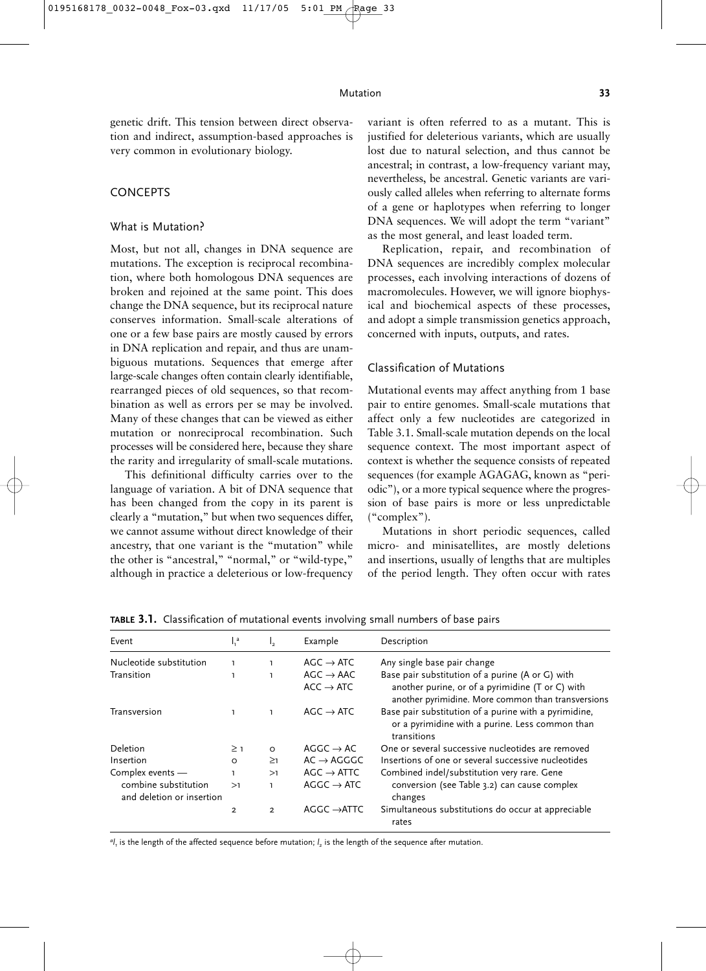genetic drift. This tension between direct observation and indirect, assumption-based approaches is very common in evolutionary biology.

#### **CONCEPTS**

#### What is Mutation?

Most, but not all, changes in DNA sequence are mutations. The exception is reciprocal recombination, where both homologous DNA sequences are broken and rejoined at the same point. This does change the DNA sequence, but its reciprocal nature conserves information. Small-scale alterations of one or a few base pairs are mostly caused by errors in DNA replication and repair, and thus are unambiguous mutations. Sequences that emerge after large-scale changes often contain clearly identifiable, rearranged pieces of old sequences, so that recombination as well as errors per se may be involved. Many of these changes that can be viewed as either mutation or nonreciprocal recombination. Such processes will be considered here, because they share the rarity and irregularity of small-scale mutations.

This definitional difficulty carries over to the language of variation. A bit of DNA sequence that has been changed from the copy in its parent is clearly a "mutation," but when two sequences differ, we cannot assume without direct knowledge of their ancestry, that one variant is the "mutation" while the other is "ancestral," "normal," or "wild-type," although in practice a deleterious or low-frequency variant is often referred to as a mutant. This is justified for deleterious variants, which are usually lost due to natural selection, and thus cannot be ancestral; in contrast, a low-frequency variant may, nevertheless, be ancestral. Genetic variants are variously called alleles when referring to alternate forms of a gene or haplotypes when referring to longer DNA sequences. We will adopt the term "variant" as the most general, and least loaded term.

Replication, repair, and recombination of DNA sequences are incredibly complex molecular processes, each involving interactions of dozens of macromolecules. However, we will ignore biophysical and biochemical aspects of these processes, and adopt a simple transmission genetics approach, concerned with inputs, outputs, and rates.

#### Classification of Mutations

Mutational events may affect anything from 1 base pair to entire genomes. Small-scale mutations that affect only a few nucleotides are categorized in Table 3.1. Small-scale mutation depends on the local sequence context. The most important aspect of context is whether the sequence consists of repeated sequences (for example AGAGAG, known as "periodic"), or a more typical sequence where the progression of base pairs is more or less unpredictable ("complex").

Mutations in short periodic sequences, called micro- and minisatellites, are mostly deletions and insertions, usually of lengths that are multiples of the period length. They often occur with rates

| Event                                             | $\int_1^a$     | I,             | Example                                        | Description                                                                                                                                                |
|---------------------------------------------------|----------------|----------------|------------------------------------------------|------------------------------------------------------------------------------------------------------------------------------------------------------------|
| Nucleotide substitution                           | $\mathbf{I}$   |                | $AGC \rightarrow ATC$                          | Any single base pair change                                                                                                                                |
| Transition                                        |                | T.             | $AGC \rightarrow AAC$<br>$ACC \rightarrow ATC$ | Base pair substitution of a purine (A or G) with<br>another purine, or of a pyrimidine (T or C) with<br>another pyrimidine. More common than transversions |
| Transversion                                      |                | $\mathbf{I}$   | $AGC \rightarrow ATC$                          | Base pair substitution of a purine with a pyrimidine,<br>or a pyrimidine with a purine. Less common than<br>transitions                                    |
| Deletion                                          | $\geq$ 1       | $\circ$        | $AGGC \rightarrow AC$                          | One or several successive nucleotides are removed                                                                                                          |
| Insertion                                         | $\Omega$       | $\geq$ 1       | $AC \rightarrow AGGGC$                         | Insertions of one or several successive nucleotides                                                                                                        |
| Complex events -                                  | L.             | >1             | $AGC \rightarrow ATTC$                         | Combined indel/substitution very rare. Gene                                                                                                                |
| combine substitution<br>and deletion or insertion | >1             | I.             | $AGGC \rightarrow ATC$                         | conversion (see Table 3.2) can cause complex<br>changes                                                                                                    |
|                                                   | $\overline{2}$ | $\overline{2}$ | $AGGC \rightarrow$ ATTC                        | Simultaneous substitutions do occur at appreciable<br>rates                                                                                                |

**TABLE 3.1.** Classification of mutational events involving small numbers of base pairs

 $a_{l_i}$  is the length of the affected sequence before mutation;  $l_2$  is the length of the sequence after mutation.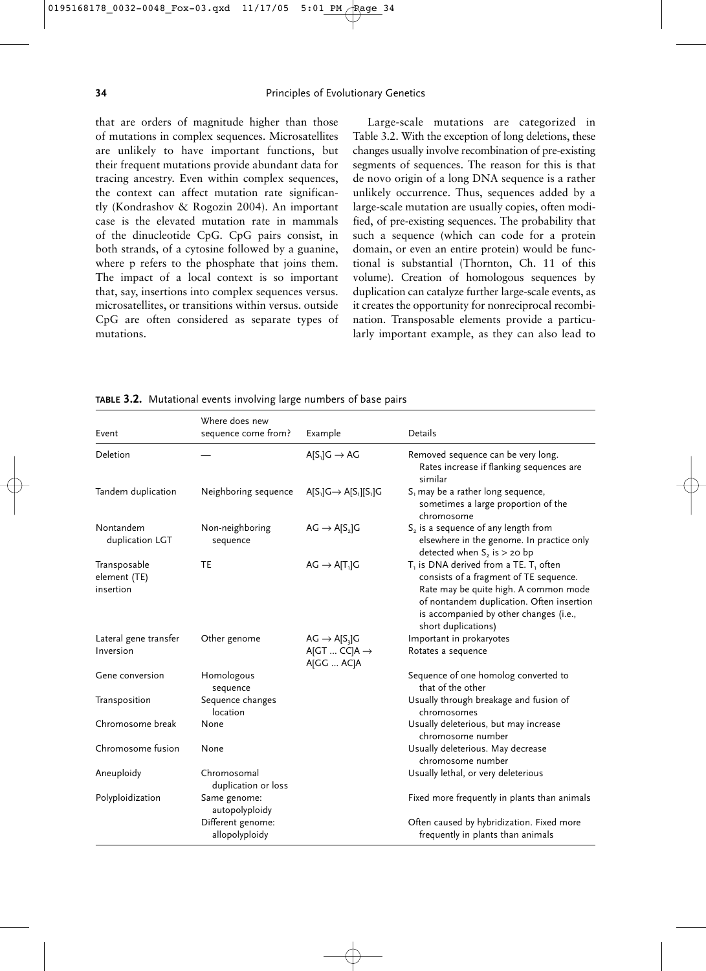that are orders of magnitude higher than those of mutations in complex sequences. Microsatellites are unlikely to have important functions, but their frequent mutations provide abundant data for tracing ancestry. Even within complex sequences, the context can affect mutation rate significantly (Kondrashov & Rogozin 2004). An important case is the elevated mutation rate in mammals of the dinucleotide CpG. CpG pairs consist, in both strands, of a cytosine followed by a guanine, where p refers to the phosphate that joins them. The impact of a local context is so important that, say, insertions into complex sequences versus. microsatellites, or transitions within versus. outside CpG are often considered as separate types of mutations.

Large-scale mutations are categorized in Table 3.2. With the exception of long deletions, these changes usually involve recombination of pre-existing segments of sequences. The reason for this is that de novo origin of a long DNA sequence is a rather unlikely occurrence. Thus, sequences added by a large-scale mutation are usually copies, often modified, of pre-existing sequences. The probability that such a sequence (which can code for a protein domain, or even an entire protein) would be functional is substantial (Thornton, Ch. 11 of this volume). Creation of homologous sequences by duplication can catalyze further large-scale events, as it creates the opportunity for nonreciprocal recombination. Transposable elements provide a particularly important example, as they can also lead to

**TABLE 3.2.** Mutational events involving large numbers of base pairs

| Event                                     | Where does new                      |                                                                          | Details                                                                                                                                                                                                                                    |
|-------------------------------------------|-------------------------------------|--------------------------------------------------------------------------|--------------------------------------------------------------------------------------------------------------------------------------------------------------------------------------------------------------------------------------------|
|                                           | sequence come from?                 | Example                                                                  |                                                                                                                                                                                                                                            |
| Deletion                                  |                                     | $A[S_1]G \rightarrow AG$                                                 | Removed sequence can be very long.<br>Rates increase if flanking sequences are<br>similar                                                                                                                                                  |
| Tandem duplication                        | Neighboring sequence                | $A[S_1]G \rightarrow A[S_1][S_1]G$                                       | $S1$ may be a rather long sequence,<br>sometimes a large proportion of the<br>chromosome                                                                                                                                                   |
| Nontandem<br>duplication LGT              | Non-neighboring<br>sequence         | $AG \rightarrow A[S_2]G$                                                 | S <sub>2</sub> is a sequence of any length from<br>elsewhere in the genome. In practice only<br>detected when $S_2$ is $>$ 20 bp                                                                                                           |
| Transposable<br>element (TE)<br>insertion | <b>TE</b>                           | $AG \rightarrow A[T_1]G$                                                 | $T1$ is DNA derived from a TE. $T1$ often<br>consists of a fragment of TE sequence.<br>Rate may be quite high. A common mode<br>of nontandem duplication. Often insertion<br>is accompanied by other changes (i.e.,<br>short duplications) |
| Lateral gene transfer<br>Inversion        | Other genome                        | $AG \rightarrow A[S_{3}]G$<br>$A$ [GT  CC] $A \rightarrow$<br>A[GG  AC]A | Important in prokaryotes<br>Rotates a sequence                                                                                                                                                                                             |
| Gene conversion                           | Homologous<br>sequence              |                                                                          | Sequence of one homolog converted to<br>that of the other                                                                                                                                                                                  |
| Transposition                             | Sequence changes<br>location        |                                                                          | Usually through breakage and fusion of<br>chromosomes                                                                                                                                                                                      |
| Chromosome break                          | None                                |                                                                          | Usually deleterious, but may increase<br>chromosome number                                                                                                                                                                                 |
| Chromosome fusion                         | None                                |                                                                          | Usually deleterious. May decrease<br>chromosome number                                                                                                                                                                                     |
| Aneuploidy                                | Chromosomal<br>duplication or loss  |                                                                          | Usually lethal, or very deleterious                                                                                                                                                                                                        |
| Polyploidization                          | Same genome:<br>autopolyploidy      |                                                                          | Fixed more frequently in plants than animals                                                                                                                                                                                               |
|                                           | Different genome:<br>allopolyploidy |                                                                          | Often caused by hybridization. Fixed more<br>frequently in plants than animals                                                                                                                                                             |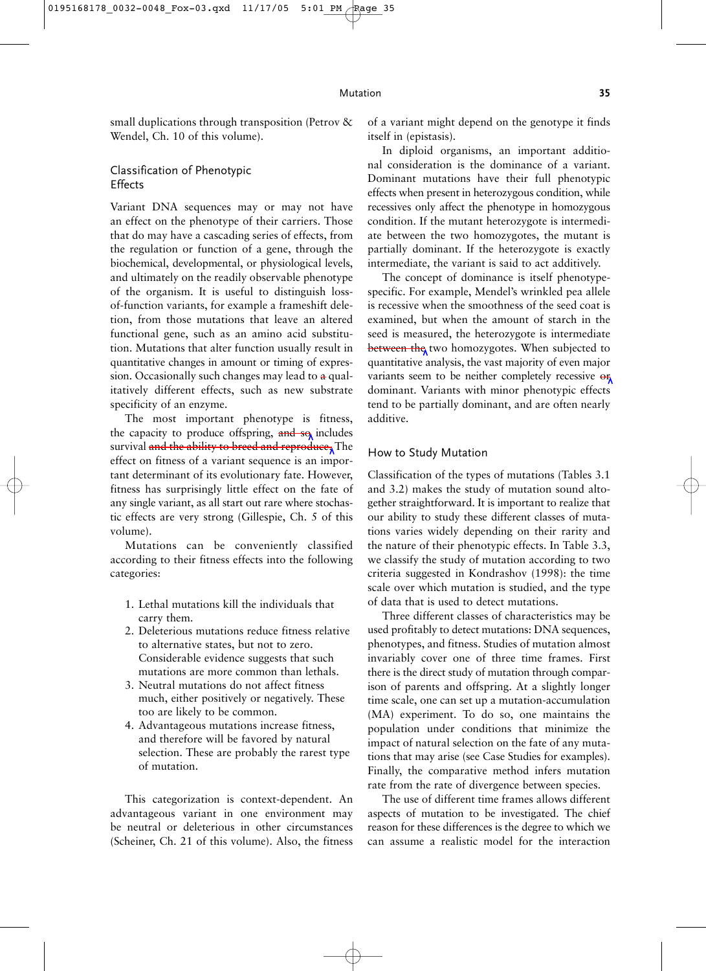small duplications through transposition (Petrov & Wendel, Ch. 10 of this volume).

### Classification of Phenotypic Effects

Variant DNA sequences may or may not have an effect on the phenotype of their carriers. Those that do may have a cascading series of effects, from the regulation or function of a gene, through the biochemical, developmental, or physiological levels, and ultimately on the readily observable phenotype of the organism. It is useful to distinguish lossof-function variants, for example a frameshift deletion, from those mutations that leave an altered functional gene, such as an amino acid substitution. Mutations that alter function usually result in quantitative changes in amount or timing of expression. Occasionally such changes may lead to  $a$  qualitatively different effects, such as new substrate specificity of an enzyme.

The most important phenotype is fitness, the capacity to produce offspring,  $\theta$  and  $\theta$  includes survival and the ability to breed and reproduce, The effect on fitness of a variant sequence is an important determinant of its evolutionary fate. However, fitness has surprisingly little effect on the fate of any single variant, as all start out rare where stochastic effects are very strong (Gillespie, Ch. 5 of this volume).

Mutations can be conveniently classified according to their fitness effects into the following categories:

- 1. Lethal mutations kill the individuals that carry them.
- 2. Deleterious mutations reduce fitness relative to alternative states, but not to zero. Considerable evidence suggests that such mutations are more common than lethals.
- 3. Neutral mutations do not affect fitness much, either positively or negatively. These too are likely to be common.
- 4. Advantageous mutations increase fitness, and therefore will be favored by natural selection. These are probably the rarest type of mutation.

This categorization is context-dependent. An advantageous variant in one environment may be neutral or deleterious in other circumstances (Scheiner, Ch. 21 of this volume). Also, the fitness of a variant might depend on the genotype it finds itself in (epistasis).

In diploid organisms, an important additional consideration is the dominance of a variant. Dominant mutations have their full phenotypic effects when present in heterozygous condition, while recessives only affect the phenotype in homozygous condition. If the mutant heterozygote is intermediate between the two homozygotes, the mutant is partially dominant. If the heterozygote is exactly intermediate, the variant is said to act additively.

The concept of dominance is itself phenotypespecific. For example, Mendel's wrinkled pea allele is recessive when the smoothness of the seed coat is examined, but when the amount of starch in the seed is measured, the heterozygote is intermediate between the two homozygotes. When subjected to quantitative analysis, the vast majority of even major variants seem to be neither completely recessive  $\Theta_{\text{A}}$ dominant. Variants with minor phenotypic effects tend to be partially dominant, and are often nearly additive.

#### How to Study Mutation

Classification of the types of mutations (Tables 3.1 and 3.2) makes the study of mutation sound altogether straightforward. It is important to realize that our ability to study these different classes of mutations varies widely depending on their rarity and the nature of their phenotypic effects. In Table 3.3, we classify the study of mutation according to two criteria suggested in Kondrashov (1998): the time scale over which mutation is studied, and the type of data that is used to detect mutations.

Three different classes of characteristics may be used profitably to detect mutations: DNA sequences, phenotypes, and fitness. Studies of mutation almost invariably cover one of three time frames. First there is the direct study of mutation through comparison of parents and offspring. At a slightly longer time scale, one can set up a mutation-accumulation (MA) experiment. To do so, one maintains the population under conditions that minimize the impact of natural selection on the fate of any mutations that may arise (see Case Studies for examples). Finally, the comparative method infers mutation rate from the rate of divergence between species.

The use of different time frames allows different aspects of mutation to be investigated. The chief reason for these differences is the degree to which we can assume a realistic model for the interaction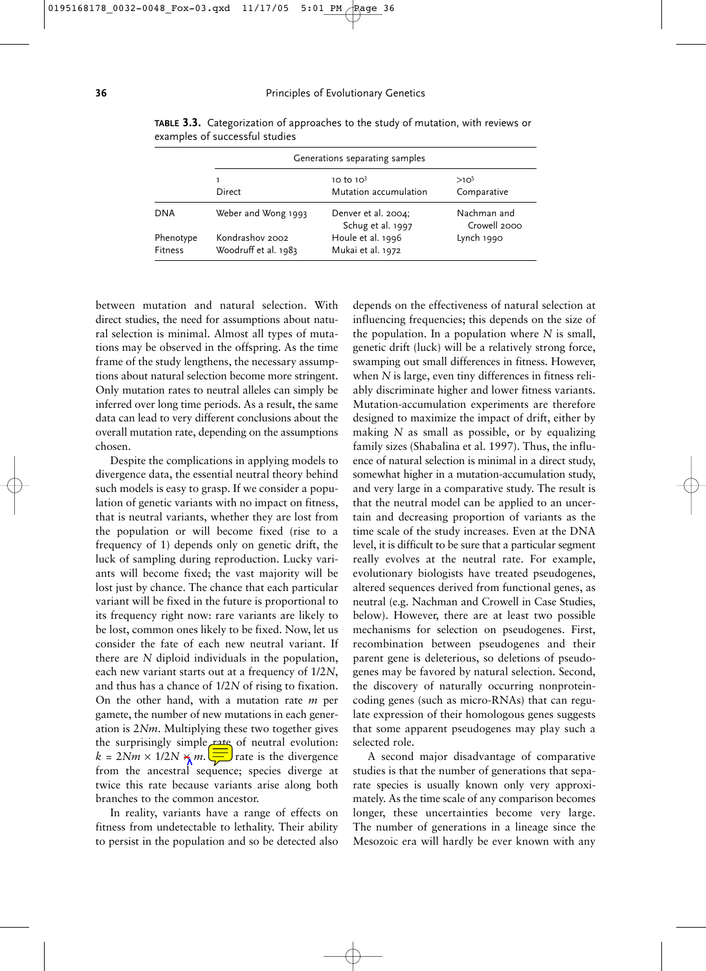|                      |                                         | Generations separating samples           |                             |  |  |  |
|----------------------|-----------------------------------------|------------------------------------------|-----------------------------|--|--|--|
|                      |                                         | 10 to $103$                              | $>10^{5}$                   |  |  |  |
|                      | Direct                                  | Mutation accumulation                    | Comparative                 |  |  |  |
| <b>DNA</b>           | Weber and Wong 1993                     | Denver et al. 2004;<br>Schug et al. 1997 | Nachman and<br>Crowell 2000 |  |  |  |
| Phenotype<br>Fitness | Kondrashov 2002<br>Woodruff et al. 1983 | Houle et al. 1996<br>Mukai et al. 1972   | Lynch 1990                  |  |  |  |

**TABLE 3.3.** Categorization of approaches to the study of mutation, with reviews or examples of successful studies

between mutation and natural selection. With direct studies, the need for assumptions about natural selection is minimal. Almost all types of mutations may be observed in the offspring. As the time frame of the study lengthens, the necessary assumptions about natural selection become more stringent. Only mutation rates to neutral alleles can simply be inferred over long time periods. As a result, the same data can lead to very different conclusions about the overall mutation rate, depending on the assumptions chosen.

Despite the complications in applying models to divergence data, the essential neutral theory behind such models is easy to grasp. If we consider a population of genetic variants with no impact on fitness, that is neutral variants, whether they are lost from the population or will become fixed (rise to a frequency of 1) depends only on genetic drift, the luck of sampling during reproduction. Lucky variants will become fixed; the vast majority will be lost just by chance. The chance that each particular variant will be fixed in the future is proportional to its frequency right now: rare variants are likely to be lost, common ones likely to be fixed. Now, let us consider the fate of each new neutral variant. If there are *N* diploid individuals in the population, each new variant starts out at a frequency of 1/2*N*, and thus has a chance of 1/2*N* of rising to fixation. On the other hand, with a mutation rate *m* per gamete, the number of new mutations in each generation is 2*Nm*. Multiplying these two together gives the surprisingly simple rate of neutral evolution:  $k = 2Nm \times 1/2N \times m$ .  $\sqrt{1}$  rate is the divergence from the ancestral sequence; species diverge at twice this rate because variants arise along both branches to the common ancestor.

In reality, variants have a range of effects on fitness from undetectable to lethality. Their ability to persist in the population and so be detected also

depends on the effectiveness of natural selection at influencing frequencies; this depends on the size of the population. In a population where *N* is small, genetic drift (luck) will be a relatively strong force, swamping out small differences in fitness. However, when *N* is large, even tiny differences in fitness reliably discriminate higher and lower fitness variants. Mutation-accumulation experiments are therefore designed to maximize the impact of drift, either by making *N* as small as possible, or by equalizing family sizes (Shabalina et al. 1997). Thus, the influence of natural selection is minimal in a direct study, somewhat higher in a mutation-accumulation study, and very large in a comparative study. The result is that the neutral model can be applied to an uncertain and decreasing proportion of variants as the time scale of the study increases. Even at the DNA level, it is difficult to be sure that a particular segment really evolves at the neutral rate. For example, evolutionary biologists have treated pseudogenes, altered sequences derived from functional genes, as neutral (e.g. Nachman and Crowell in Case Studies, below). However, there are at least two possible mechanisms for selection on pseudogenes. First, recombination between pseudogenes and their parent gene is deleterious, so deletions of pseudogenes may be favored by natural selection. Second, the discovery of naturally occurring nonproteincoding genes (such as micro-RNAs) that can regulate expression of their homologous genes suggests that some apparent pseudogenes may play such a selected role.

A second major disadvantage of comparative studies is that the number of generations that separate species is usually known only very approximately. As the time scale of any comparison becomes longer, these uncertainties become very large. The number of generations in a lineage since the Mesozoic era will hardly be ever known with any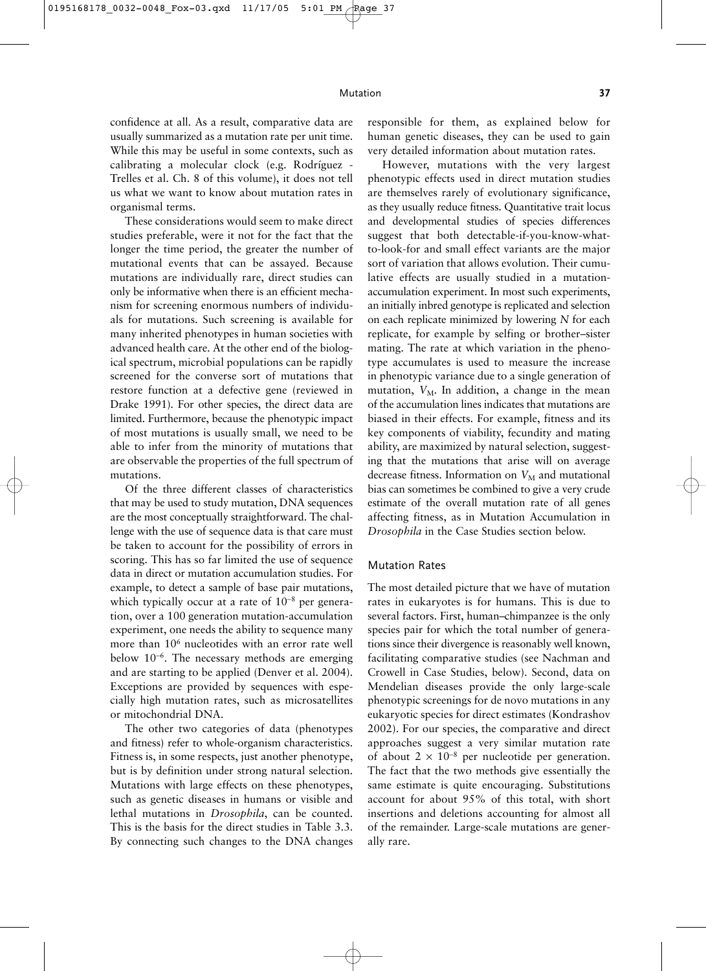confidence at all. As a result, comparative data are usually summarized as a mutation rate per unit time. While this may be useful in some contexts, such as calibrating a molecular clock (e.g. Rodríguez - Trelles et al. Ch. 8 of this volume), it does not tell us what we want to know about mutation rates in organismal terms.

These considerations would seem to make direct studies preferable, were it not for the fact that the longer the time period, the greater the number of mutational events that can be assayed. Because mutations are individually rare, direct studies can only be informative when there is an efficient mechanism for screening enormous numbers of individuals for mutations. Such screening is available for many inherited phenotypes in human societies with advanced health care. At the other end of the biological spectrum, microbial populations can be rapidly screened for the converse sort of mutations that restore function at a defective gene (reviewed in Drake 1991). For other species, the direct data are limited. Furthermore, because the phenotypic impact of most mutations is usually small, we need to be able to infer from the minority of mutations that are observable the properties of the full spectrum of mutations.

Of the three different classes of characteristics that may be used to study mutation, DNA sequences are the most conceptually straightforward. The challenge with the use of sequence data is that care must be taken to account for the possibility of errors in scoring. This has so far limited the use of sequence data in direct or mutation accumulation studies. For example, to detect a sample of base pair mutations, which typically occur at a rate of 10<sup>-8</sup> per generation, over a 100 generation mutation-accumulation experiment, one needs the ability to sequence many more than 10<sup>6</sup> nucleotides with an error rate well below 10<sup>−</sup>6. The necessary methods are emerging and are starting to be applied (Denver et al. 2004). Exceptions are provided by sequences with especially high mutation rates, such as microsatellites or mitochondrial DNA.

The other two categories of data (phenotypes and fitness) refer to whole-organism characteristics. Fitness is, in some respects, just another phenotype, but is by definition under strong natural selection. Mutations with large effects on these phenotypes, such as genetic diseases in humans or visible and lethal mutations in *Drosophila*, can be counted. This is the basis for the direct studies in Table 3.3. By connecting such changes to the DNA changes responsible for them, as explained below for human genetic diseases, they can be used to gain very detailed information about mutation rates.

However, mutations with the very largest phenotypic effects used in direct mutation studies are themselves rarely of evolutionary significance, as they usually reduce fitness. Quantitative trait locus and developmental studies of species differences suggest that both detectable-if-you-know-whatto-look-for and small effect variants are the major sort of variation that allows evolution. Their cumulative effects are usually studied in a mutationaccumulation experiment. In most such experiments, an initially inbred genotype is replicated and selection on each replicate minimized by lowering *N* for each replicate, for example by selfing or brother–sister mating. The rate at which variation in the phenotype accumulates is used to measure the increase in phenotypic variance due to a single generation of mutation,  $V_M$ . In addition, a change in the mean of the accumulation lines indicates that mutations are biased in their effects. For example, fitness and its key components of viability, fecundity and mating ability, are maximized by natural selection, suggesting that the mutations that arise will on average decrease fitness. Information on  $V_M$  and mutational bias can sometimes be combined to give a very crude estimate of the overall mutation rate of all genes affecting fitness, as in Mutation Accumulation in *Drosophila* in the Case Studies section below.

#### Mutation Rates

The most detailed picture that we have of mutation rates in eukaryotes is for humans. This is due to several factors. First, human–chimpanzee is the only species pair for which the total number of generations since their divergence is reasonably well known, facilitating comparative studies (see Nachman and Crowell in Case Studies, below). Second, data on Mendelian diseases provide the only large-scale phenotypic screenings for de novo mutations in any eukaryotic species for direct estimates (Kondrashov 2002). For our species, the comparative and direct approaches suggest a very similar mutation rate of about  $2 \times 10^{-8}$  per nucleotide per generation. The fact that the two methods give essentially the same estimate is quite encouraging. Substitutions account for about 95% of this total, with short insertions and deletions accounting for almost all of the remainder. Large-scale mutations are generally rare.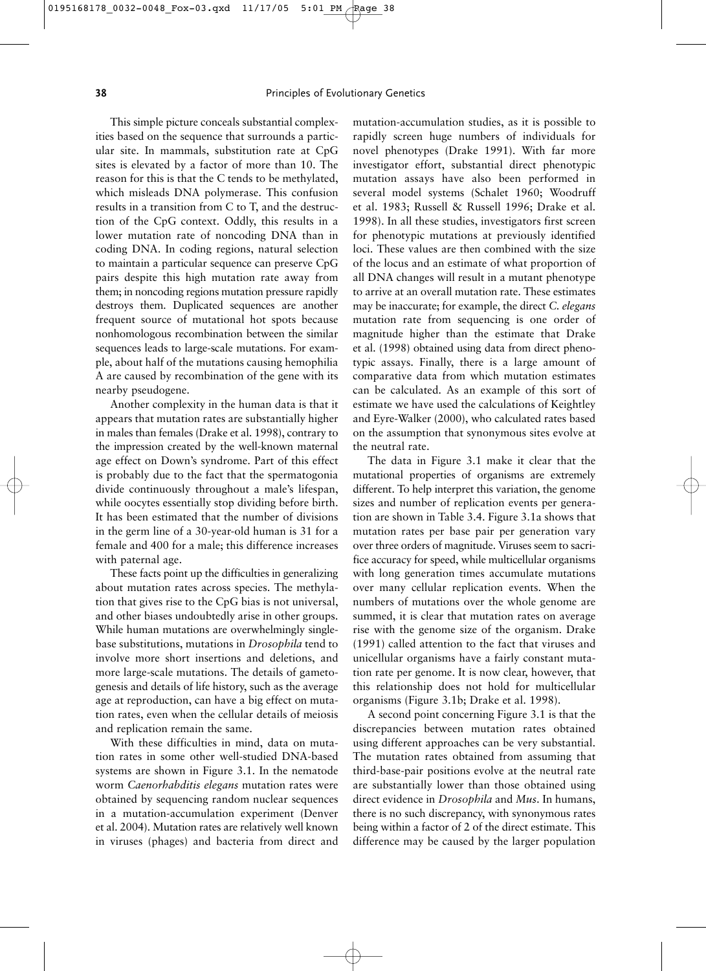This simple picture conceals substantial complexities based on the sequence that surrounds a particular site. In mammals, substitution rate at CpG sites is elevated by a factor of more than 10. The reason for this is that the C tends to be methylated, which misleads DNA polymerase. This confusion results in a transition from C to T, and the destruction of the CpG context. Oddly, this results in a lower mutation rate of noncoding DNA than in coding DNA. In coding regions, natural selection to maintain a particular sequence can preserve CpG pairs despite this high mutation rate away from them; in noncoding regions mutation pressure rapidly destroys them. Duplicated sequences are another frequent source of mutational hot spots because nonhomologous recombination between the similar sequences leads to large-scale mutations. For example, about half of the mutations causing hemophilia A are caused by recombination of the gene with its nearby pseudogene.

Another complexity in the human data is that it appears that mutation rates are substantially higher in males than females (Drake et al. 1998), contrary to the impression created by the well-known maternal age effect on Down's syndrome. Part of this effect is probably due to the fact that the spermatogonia divide continuously throughout a male's lifespan, while oocytes essentially stop dividing before birth. It has been estimated that the number of divisions in the germ line of a 30-year-old human is 31 for a female and 400 for a male; this difference increases with paternal age.

These facts point up the difficulties in generalizing about mutation rates across species. The methylation that gives rise to the CpG bias is not universal, and other biases undoubtedly arise in other groups. While human mutations are overwhelmingly singlebase substitutions, mutations in *Drosophila* tend to involve more short insertions and deletions, and more large-scale mutations. The details of gametogenesis and details of life history, such as the average age at reproduction, can have a big effect on mutation rates, even when the cellular details of meiosis and replication remain the same.

With these difficulties in mind, data on mutation rates in some other well-studied DNA-based systems are shown in Figure 3.1. In the nematode worm *Caenorhabditis elegans* mutation rates were obtained by sequencing random nuclear sequences in a mutation-accumulation experiment (Denver et al. 2004). Mutation rates are relatively well known in viruses (phages) and bacteria from direct and

mutation-accumulation studies, as it is possible to rapidly screen huge numbers of individuals for novel phenotypes (Drake 1991). With far more investigator effort, substantial direct phenotypic mutation assays have also been performed in several model systems (Schalet 1960; Woodruff et al. 1983; Russell & Russell 1996; Drake et al. 1998). In all these studies, investigators first screen for phenotypic mutations at previously identified loci. These values are then combined with the size of the locus and an estimate of what proportion of all DNA changes will result in a mutant phenotype to arrive at an overall mutation rate. These estimates may be inaccurate; for example, the direct *C. elegans* mutation rate from sequencing is one order of magnitude higher than the estimate that Drake et al. (1998) obtained using data from direct phenotypic assays. Finally, there is a large amount of comparative data from which mutation estimates can be calculated. As an example of this sort of estimate we have used the calculations of Keightley and Eyre-Walker (2000), who calculated rates based on the assumption that synonymous sites evolve at the neutral rate.

The data in Figure 3.1 make it clear that the mutational properties of organisms are extremely different. To help interpret this variation, the genome sizes and number of replication events per generation are shown in Table 3.4. Figure 3.1a shows that mutation rates per base pair per generation vary over three orders of magnitude. Viruses seem to sacrifice accuracy for speed, while multicellular organisms with long generation times accumulate mutations over many cellular replication events. When the numbers of mutations over the whole genome are summed, it is clear that mutation rates on average rise with the genome size of the organism. Drake (1991) called attention to the fact that viruses and unicellular organisms have a fairly constant mutation rate per genome. It is now clear, however, that this relationship does not hold for multicellular organisms (Figure 3.1b; Drake et al. 1998).

A second point concerning Figure 3.1 is that the discrepancies between mutation rates obtained using different approaches can be very substantial. The mutation rates obtained from assuming that third-base-pair positions evolve at the neutral rate are substantially lower than those obtained using direct evidence in *Drosophila* and *Mus*. In humans, there is no such discrepancy, with synonymous rates being within a factor of 2 of the direct estimate. This difference may be caused by the larger population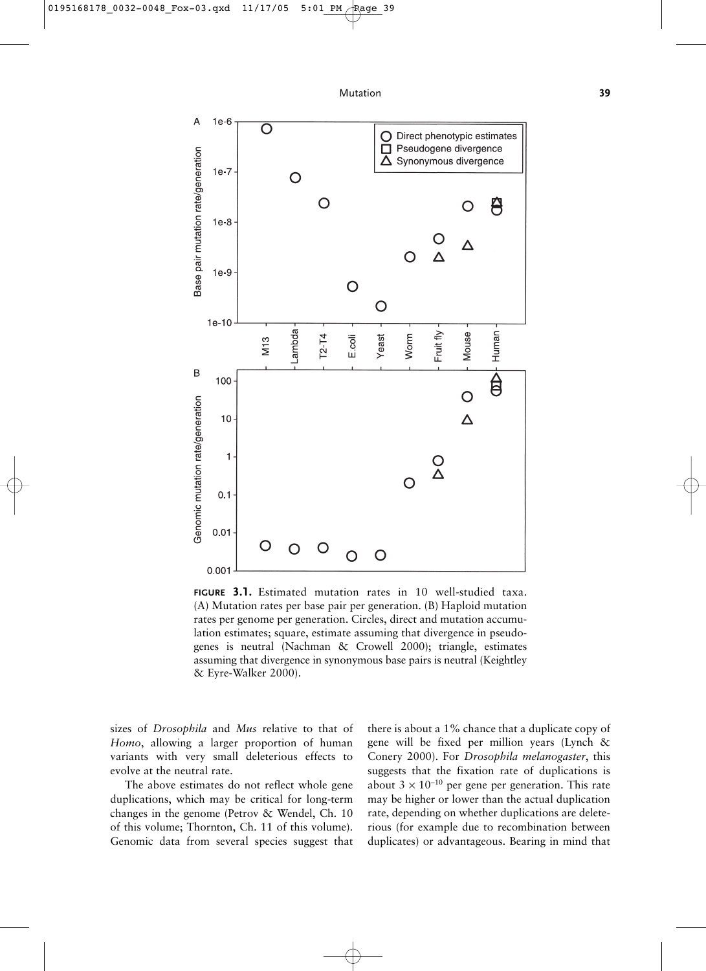

**FIGURE 3.1.** Estimated mutation rates in 10 well-studied taxa. (A) Mutation rates per base pair per generation. (B) Haploid mutation rates per genome per generation. Circles, direct and mutation accumulation estimates; square, estimate assuming that divergence in pseudogenes is neutral (Nachman & Crowell 2000); triangle, estimates assuming that divergence in synonymous base pairs is neutral (Keightley & Eyre-Walker 2000).

sizes of *Drosophila* and *Mus* relative to that of *Homo*, allowing a larger proportion of human variants with very small deleterious effects to evolve at the neutral rate.

The above estimates do not reflect whole gene duplications, which may be critical for long-term changes in the genome (Petrov & Wendel, Ch. 10 of this volume; Thornton, Ch. 11 of this volume). Genomic data from several species suggest that there is about a 1% chance that a duplicate copy of gene will be fixed per million years (Lynch & Conery 2000). For *Drosophila melanogaster*, this suggests that the fixation rate of duplications is about  $3 \times 10^{-10}$  per gene per generation. This rate may be higher or lower than the actual duplication rate, depending on whether duplications are deleterious (for example due to recombination between duplicates) or advantageous. Bearing in mind that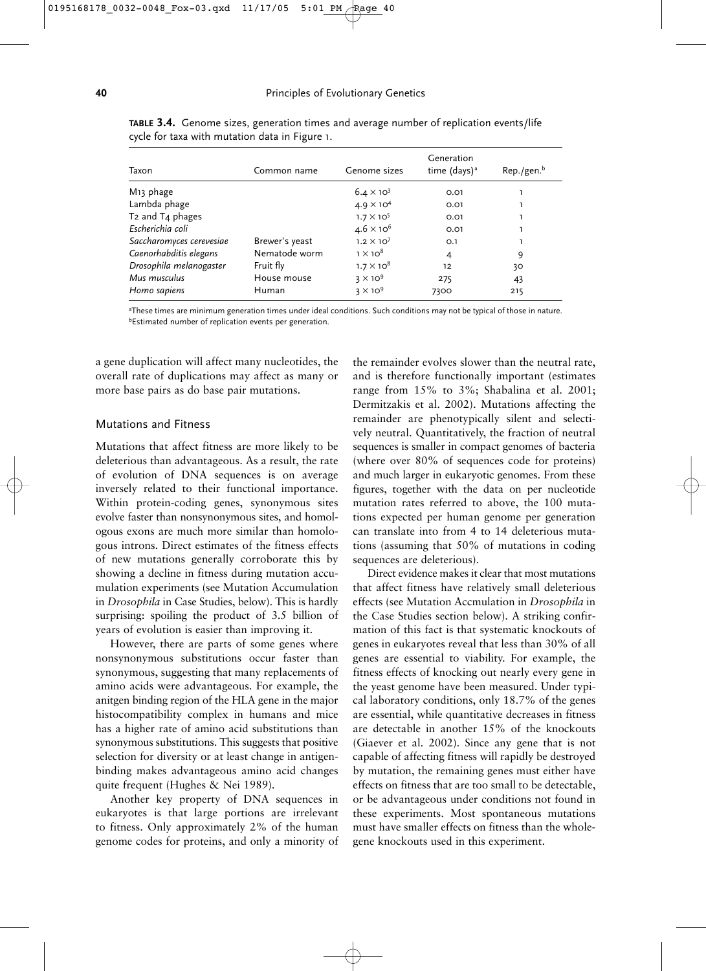| Taxon                    | Common name    | Genome sizes        | Generation<br>time (days) <sup>a</sup> | $Rep./gen.^b$ |
|--------------------------|----------------|---------------------|----------------------------------------|---------------|
| M <sub>13</sub> phage    |                | $6.4 \times 10^{3}$ | 0.01                                   |               |
| Lambda phage             |                | $4.9 \times 10^{4}$ | 0.01                                   |               |
| T2 and T4 phages         |                | $1.7 \times 10^{5}$ | 0.01                                   |               |
| Escherichia coli         |                | $4.6 \times 10^{6}$ | 0.01                                   |               |
| Saccharomyces cerevesiae | Brewer's yeast | $1.2 \times 10^{7}$ | O.1                                    |               |
| Caenorhabditis elegans   | Nematode worm  | $1 \times 10^8$     | 4                                      | 9             |
| Drosophila melanogaster  | Fruit fly      | $1.7 \times 10^8$   | 12                                     | 30            |
| Mus musculus             | House mouse    | $3 \times 10^9$     | 275                                    | 43            |
| Homo sapiens             | Human          | $3 \times 10^9$     | 7300                                   | 215           |

**TABLE 3.4.** Genome sizes, generation times and average number of replication events/life cycle for taxa with mutation data in Figure 1.

a These times are minimum generation times under ideal conditions. Such conditions may not be typical of those in nature. bEstimated number of replication events per generation.

a gene duplication will affect many nucleotides, the overall rate of duplications may affect as many or more base pairs as do base pair mutations.

#### Mutations and Fitness

Mutations that affect fitness are more likely to be deleterious than advantageous. As a result, the rate of evolution of DNA sequences is on average inversely related to their functional importance. Within protein-coding genes, synonymous sites evolve faster than nonsynonymous sites, and homologous exons are much more similar than homologous introns. Direct estimates of the fitness effects of new mutations generally corroborate this by showing a decline in fitness during mutation accumulation experiments (see Mutation Accumulation in *Drosophila* in Case Studies, below). This is hardly surprising: spoiling the product of 3.5 billion of years of evolution is easier than improving it.

However, there are parts of some genes where nonsynonymous substitutions occur faster than synonymous, suggesting that many replacements of amino acids were advantageous. For example, the anitgen binding region of the HLA gene in the major histocompatibility complex in humans and mice has a higher rate of amino acid substitutions than synonymous substitutions. This suggests that positive selection for diversity or at least change in antigenbinding makes advantageous amino acid changes quite frequent (Hughes & Nei 1989).

Another key property of DNA sequences in eukaryotes is that large portions are irrelevant to fitness. Only approximately 2% of the human genome codes for proteins, and only a minority of

the remainder evolves slower than the neutral rate, and is therefore functionally important (estimates range from 15% to 3%; Shabalina et al. 2001; Dermitzakis et al. 2002). Mutations affecting the remainder are phenotypically silent and selectively neutral. Quantitatively, the fraction of neutral sequences is smaller in compact genomes of bacteria (where over 80% of sequences code for proteins) and much larger in eukaryotic genomes. From these figures, together with the data on per nucleotide mutation rates referred to above, the 100 mutations expected per human genome per generation can translate into from 4 to 14 deleterious mutations (assuming that 50% of mutations in coding sequences are deleterious).

Direct evidence makes it clear that most mutations that affect fitness have relatively small deleterious effects (see Mutation Accmulation in *Drosophila* in the Case Studies section below). A striking confirmation of this fact is that systematic knockouts of genes in eukaryotes reveal that less than 30% of all genes are essential to viability. For example, the fitness effects of knocking out nearly every gene in the yeast genome have been measured. Under typical laboratory conditions, only 18.7% of the genes are essential, while quantitative decreases in fitness are detectable in another 15% of the knockouts (Giaever et al. 2002). Since any gene that is not capable of affecting fitness will rapidly be destroyed by mutation, the remaining genes must either have effects on fitness that are too small to be detectable, or be advantageous under conditions not found in these experiments. Most spontaneous mutations must have smaller effects on fitness than the wholegene knockouts used in this experiment.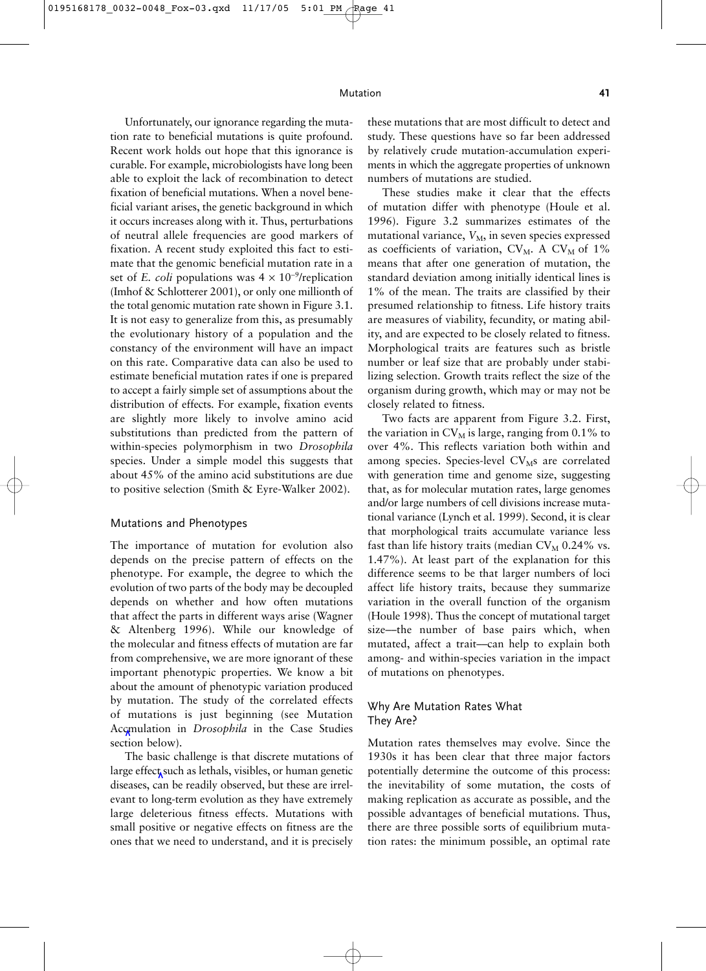Unfortunately, our ignorance regarding the mutation rate to beneficial mutations is quite profound. Recent work holds out hope that this ignorance is curable. For example, microbiologists have long been able to exploit the lack of recombination to detect fixation of beneficial mutations. When a novel beneficial variant arises, the genetic background in which it occurs increases along with it. Thus, perturbations of neutral allele frequencies are good markers of fixation. A recent study exploited this fact to estimate that the genomic beneficial mutation rate in a set of *E. coli* populations was  $4 \times 10^{-9}$ /replication (Imhof & Schlotterer 2001), or only one millionth of the total genomic mutation rate shown in Figure 3.1. It is not easy to generalize from this, as presumably the evolutionary history of a population and the constancy of the environment will have an impact on this rate. Comparative data can also be used to estimate beneficial mutation rates if one is prepared to accept a fairly simple set of assumptions about the distribution of effects. For example, fixation events are slightly more likely to involve amino acid substitutions than predicted from the pattern of within-species polymorphism in two *Drosophila* species. Under a simple model this suggests that about 45% of the amino acid substitutions are due to positive selection (Smith & Eyre-Walker 2002).

#### Mutations and Phenotypes

The importance of mutation for evolution also depends on the precise pattern of effects on the phenotype. For example, the degree to which the evolution of two parts of the body may be decoupled depends on whether and how often mutations that affect the parts in different ways arise (Wagner & Altenberg 1996). While our knowledge of the molecular and fitness effects of mutation are far from comprehensive, we are more ignorant of these important phenotypic properties. We know a bit about the amount of phenotypic variation produced by mutation. The study of the correlated effects of mutations is just beginning (see Mutation Accmulation in *Drosophila* in the Case Studies section below).

The basic challenge is that discrete mutations of large effect such as lethals, visibles, or human genetic diseases, can be readily observed, but these are irrelevant to long-term evolution as they have extremely large deleterious fitness effects. Mutations with small positive or negative effects on fitness are the ones that we need to understand, and it is precisely these mutations that are most difficult to detect and study. These questions have so far been addressed by relatively crude mutation-accumulation experiments in which the aggregate properties of unknown numbers of mutations are studied.

These studies make it clear that the effects of mutation differ with phenotype (Houle et al. 1996). Figure 3.2 summarizes estimates of the mutational variance,  $V_M$ , in seven species expressed as coefficients of variation,  $CV_M$ . A  $CV_M$  of 1% means that after one generation of mutation, the standard deviation among initially identical lines is 1% of the mean. The traits are classified by their presumed relationship to fitness. Life history traits are measures of viability, fecundity, or mating ability, and are expected to be closely related to fitness. Morphological traits are features such as bristle number or leaf size that are probably under stabilizing selection. Growth traits reflect the size of the organism during growth, which may or may not be closely related to fitness.

Two facts are apparent from Figure 3.2. First, the variation in  $CV_{M}$  is large, ranging from 0.1% to over 4%. This reflects variation both within and among species. Species-level  $CV<sub>M</sub>$ s are correlated with generation time and genome size, suggesting that, as for molecular mutation rates, large genomes and/or large numbers of cell divisions increase mutational variance (Lynch et al. 1999). Second, it is clear that morphological traits accumulate variance less fast than life history traits (median  $CV_M$  0.24% vs. 1.47%). At least part of the explanation for this difference seems to be that larger numbers of loci affect life history traits, because they summarize variation in the overall function of the organism (Houle 1998). Thus the concept of mutational target size––the number of base pairs which, when mutated, affect a trait––can help to explain both among- and within-species variation in the impact of mutations on phenotypes.

#### Why Are Mutation Rates What They Are?

Mutation rates themselves may evolve. Since the 1930s it has been clear that three major factors potentially determine the outcome of this process: the inevitability of some mutation, the costs of making replication as accurate as possible, and the possible advantages of beneficial mutations. Thus, there are three possible sorts of equilibrium mutation rates: the minimum possible, an optimal rate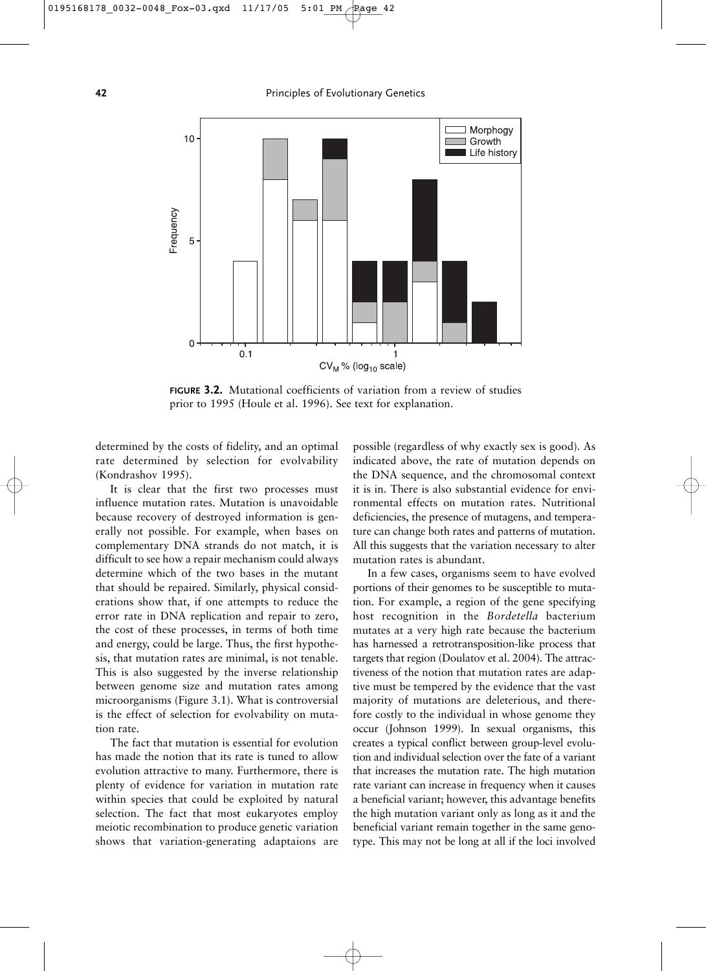**42** Principles of Evolutionary Genetics



**FIGURE 3.2.** Mutational coefficients of variation from a review of studies prior to 1995 (Houle et al. 1996). See text for explanation.

determined by the costs of fidelity, and an optimal rate determined by selection for evolvability (Kondrashov 1995).

It is clear that the first two processes must influence mutation rates. Mutation is unavoidable because recovery of destroyed information is generally not possible. For example, when bases on complementary DNA strands do not match, it is difficult to see how a repair mechanism could always determine which of the two bases in the mutant that should be repaired. Similarly, physical considerations show that, if one attempts to reduce the error rate in DNA replication and repair to zero, the cost of these processes, in terms of both time and energy, could be large. Thus, the first hypothesis, that mutation rates are minimal, is not tenable. This is also suggested by the inverse relationship between genome size and mutation rates among microorganisms (Figure 3.1). What is controversial is the effect of selection for evolvability on mutation rate.

The fact that mutation is essential for evolution has made the notion that its rate is tuned to allow evolution attractive to many. Furthermore, there is plenty of evidence for variation in mutation rate within species that could be exploited by natural selection. The fact that most eukaryotes employ meiotic recombination to produce genetic variation shows that variation-generating adaptaions are

possible (regardless of why exactly sex is good). As indicated above, the rate of mutation depends on the DNA sequence, and the chromosomal context it is in. There is also substantial evidence for environmental effects on mutation rates. Nutritional deficiencies, the presence of mutagens, and temperature can change both rates and patterns of mutation. All this suggests that the variation necessary to alter mutation rates is abundant.

In a few cases, organisms seem to have evolved portions of their genomes to be susceptible to mutation. For example, a region of the gene specifying host recognition in the *Bordetella* bacterium mutates at a very high rate because the bacterium has harnessed a retrotransposition-like process that targets that region (Doulatov et al. 2004). The attractiveness of the notion that mutation rates are adaptive must be tempered by the evidence that the vast majority of mutations are deleterious, and therefore costly to the individual in whose genome they occur (Johnson 1999). In sexual organisms, this creates a typical conflict between group-level evolution and individual selection over the fate of a variant that increases the mutation rate. The high mutation rate variant can increase in frequency when it causes a beneficial variant; however, this advantage benefits the high mutation variant only as long as it and the beneficial variant remain together in the same genotype. This may not be long at all if the loci involved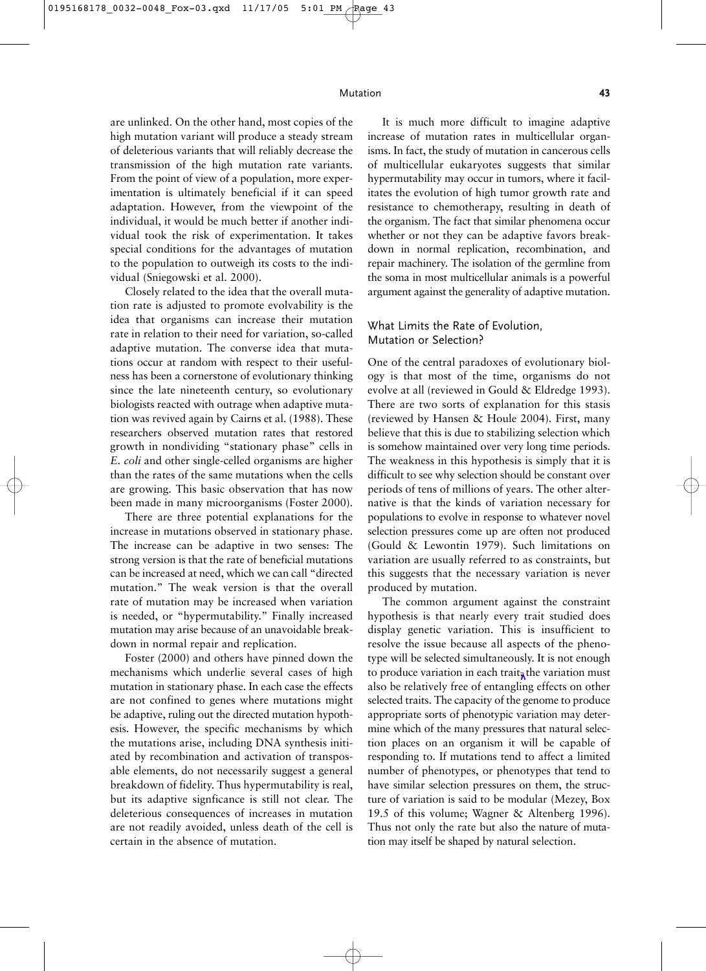are unlinked. On the other hand, most copies of the high mutation variant will produce a steady stream of deleterious variants that will reliably decrease the transmission of the high mutation rate variants. From the point of view of a population, more experimentation is ultimately beneficial if it can speed adaptation. However, from the viewpoint of the individual, it would be much better if another individual took the risk of experimentation. It takes special conditions for the advantages of mutation to the population to outweigh its costs to the individual (Sniegowski et al. 2000).

Closely related to the idea that the overall mutation rate is adjusted to promote evolvability is the idea that organisms can increase their mutation rate in relation to their need for variation, so-called adaptive mutation. The converse idea that mutations occur at random with respect to their usefulness has been a cornerstone of evolutionary thinking since the late nineteenth century, so evolutionary biologists reacted with outrage when adaptive mutation was revived again by Cairns et al. (1988). These researchers observed mutation rates that restored growth in nondividing "stationary phase" cells in *E. coli* and other single-celled organisms are higher than the rates of the same mutations when the cells are growing. This basic observation that has now been made in many microorganisms (Foster 2000).

There are three potential explanations for the increase in mutations observed in stationary phase. The increase can be adaptive in two senses: The strong version is that the rate of beneficial mutations can be increased at need, which we can call "directed mutation." The weak version is that the overall rate of mutation may be increased when variation is needed, or "hypermutability." Finally increased mutation may arise because of an unavoidable breakdown in normal repair and replication.

Foster (2000) and others have pinned down the mechanisms which underlie several cases of high mutation in stationary phase. In each case the effects are not confined to genes where mutations might be adaptive, ruling out the directed mutation hypothesis. However, the specific mechanisms by which the mutations arise, including DNA synthesis initiated by recombination and activation of transposable elements, do not necessarily suggest a general breakdown of fidelity. Thus hypermutability is real, but its adaptive signficance is still not clear. The deleterious consequences of increases in mutation are not readily avoided, unless death of the cell is certain in the absence of mutation.

It is much more difficult to imagine adaptive increase of mutation rates in multicellular organisms. In fact, the study of mutation in cancerous cells of multicellular eukaryotes suggests that similar hypermutability may occur in tumors, where it facilitates the evolution of high tumor growth rate and resistance to chemotherapy, resulting in death of the organism. The fact that similar phenomena occur whether or not they can be adaptive favors breakdown in normal replication, recombination, and repair machinery. The isolation of the germline from the soma in most multicellular animals is a powerful argument against the generality of adaptive mutation.

#### What Limits the Rate of Evolution, Mutation or Selection?

One of the central paradoxes of evolutionary biology is that most of the time, organisms do not evolve at all (reviewed in Gould & Eldredge 1993). There are two sorts of explanation for this stasis (reviewed by Hansen & Houle 2004). First, many believe that this is due to stabilizing selection which is somehow maintained over very long time periods. The weakness in this hypothesis is simply that it is difficult to see why selection should be constant over periods of tens of millions of years. The other alternative is that the kinds of variation necessary for populations to evolve in response to whatever novel selection pressures come up are often not produced (Gould & Lewontin 1979). Such limitations on variation are usually referred to as constraints, but this suggests that the necessary variation is never produced by mutation.

The common argument against the constraint hypothesis is that nearly every trait studied does display genetic variation. This is insufficient to resolve the issue because all aspects of the phenotype will be selected simultaneously. It is not enough to produce variation in each trait, the variation must also be relatively free of entangling effects on other selected traits. The capacity of the genome to produce appropriate sorts of phenotypic variation may determine which of the many pressures that natural selection places on an organism it will be capable of responding to. If mutations tend to affect a limited number of phenotypes, or phenotypes that tend to have similar selection pressures on them, the structure of variation is said to be modular (Mezey, Box 19.5 of this volume; Wagner & Altenberg 1996). Thus not only the rate but also the nature of mutation may itself be shaped by natural selection.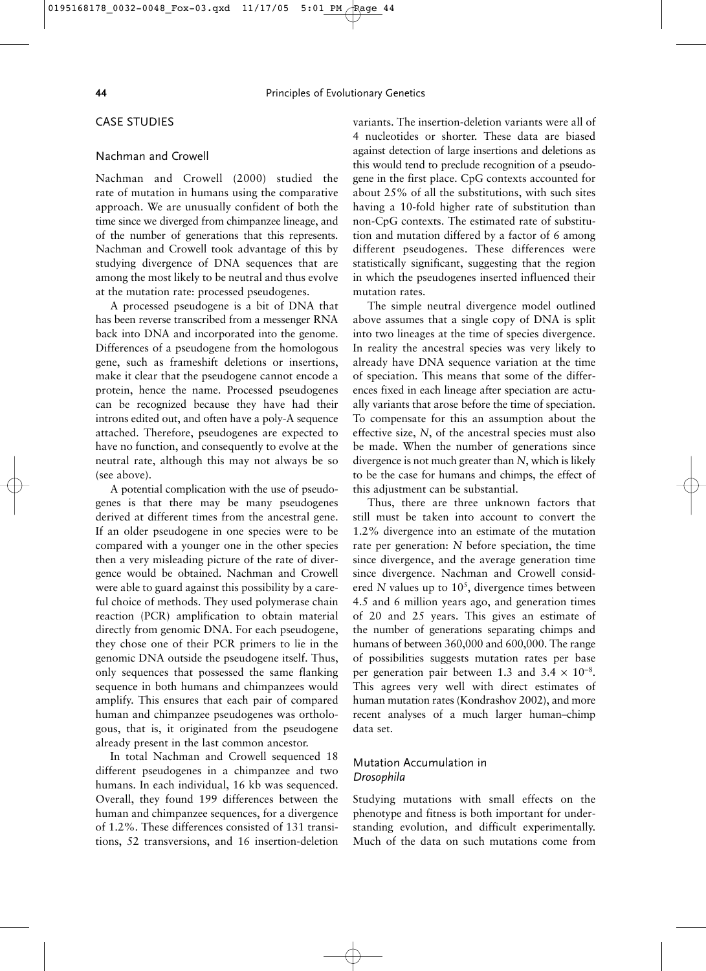#### CASE STUDIES

#### Nachman and Crowell

Nachman and Crowell (2000) studied the rate of mutation in humans using the comparative approach. We are unusually confident of both the time since we diverged from chimpanzee lineage, and of the number of generations that this represents. Nachman and Crowell took advantage of this by studying divergence of DNA sequences that are among the most likely to be neutral and thus evolve at the mutation rate: processed pseudogenes.

A processed pseudogene is a bit of DNA that has been reverse transcribed from a messenger RNA back into DNA and incorporated into the genome. Differences of a pseudogene from the homologous gene, such as frameshift deletions or insertions, make it clear that the pseudogene cannot encode a protein, hence the name. Processed pseudogenes can be recognized because they have had their introns edited out, and often have a poly-A sequence attached. Therefore, pseudogenes are expected to have no function, and consequently to evolve at the neutral rate, although this may not always be so (see above).

A potential complication with the use of pseudogenes is that there may be many pseudogenes derived at different times from the ancestral gene. If an older pseudogene in one species were to be compared with a younger one in the other species then a very misleading picture of the rate of divergence would be obtained. Nachman and Crowell were able to guard against this possibility by a careful choice of methods. They used polymerase chain reaction (PCR) amplification to obtain material directly from genomic DNA. For each pseudogene, they chose one of their PCR primers to lie in the genomic DNA outside the pseudogene itself. Thus, only sequences that possessed the same flanking sequence in both humans and chimpanzees would amplify. This ensures that each pair of compared human and chimpanzee pseudogenes was orthologous, that is, it originated from the pseudogene already present in the last common ancestor.

In total Nachman and Crowell sequenced 18 different pseudogenes in a chimpanzee and two humans. In each individual, 16 kb was sequenced. Overall, they found 199 differences between the human and chimpanzee sequences, for a divergence of 1.2%. These differences consisted of 131 transitions, 52 transversions, and 16 insertion-deletion

variants. The insertion-deletion variants were all of 4 nucleotides or shorter. These data are biased against detection of large insertions and deletions as this would tend to preclude recognition of a pseudogene in the first place. CpG contexts accounted for about 25% of all the substitutions, with such sites having a 10-fold higher rate of substitution than non-CpG contexts. The estimated rate of substitution and mutation differed by a factor of 6 among different pseudogenes. These differences were statistically significant, suggesting that the region in which the pseudogenes inserted influenced their mutation rates.

The simple neutral divergence model outlined above assumes that a single copy of DNA is split into two lineages at the time of species divergence. In reality the ancestral species was very likely to already have DNA sequence variation at the time of speciation. This means that some of the differences fixed in each lineage after speciation are actually variants that arose before the time of speciation. To compensate for this an assumption about the effective size, *N*, of the ancestral species must also be made. When the number of generations since divergence is not much greater than *N*, which is likely to be the case for humans and chimps, the effect of this adjustment can be substantial.

Thus, there are three unknown factors that still must be taken into account to convert the 1.2% divergence into an estimate of the mutation rate per generation: *N* before speciation, the time since divergence, and the average generation time since divergence. Nachman and Crowell considered  $N$  values up to  $10<sup>5</sup>$ , divergence times between 4.5 and 6 million years ago, and generation times of 20 and 25 years. This gives an estimate of the number of generations separating chimps and humans of between 360,000 and 600,000. The range of possibilities suggests mutation rates per base per generation pair between 1.3 and  $3.4 \times 10^{-8}$ . This agrees very well with direct estimates of human mutation rates (Kondrashov 2002), and more recent analyses of a much larger human–chimp data set.

#### Mutation Accumulation in *Drosophila*

Studying mutations with small effects on the phenotype and fitness is both important for understanding evolution, and difficult experimentally. Much of the data on such mutations come from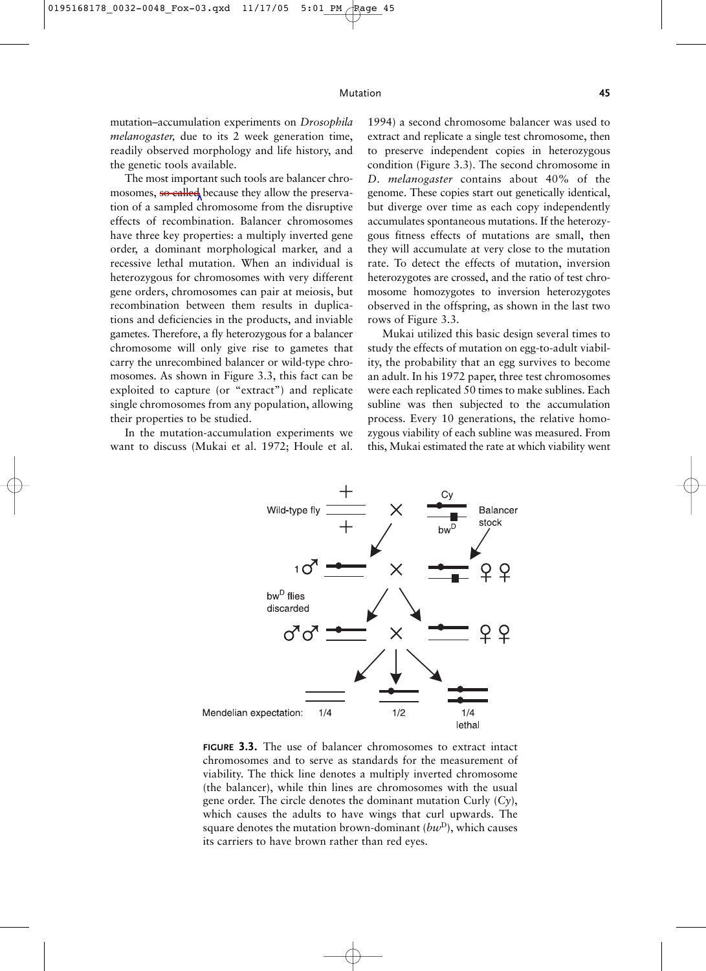mutation–accumulation experiments on *Drosophila melanogaster,* due to its 2 week generation time, readily observed morphology and life history, and the genetic tools available.

The most important such tools are balancer chromosomes, so called because they allow the preservation of a sampled chromosome from the disruptive effects of recombination. Balancer chromosomes have three key properties: a multiply inverted gene order, a dominant morphological marker, and a recessive lethal mutation. When an individual is heterozygous for chromosomes with very different gene orders, chromosomes can pair at meiosis, but recombination between them results in duplications and deficiencies in the products, and inviable gametes. Therefore, a fly heterozygous for a balancer chromosome will only give rise to gametes that carry the unrecombined balancer or wild-type chromosomes. As shown in Figure 3.3, this fact can be exploited to capture (or "extract") and replicate single chromosomes from any population, allowing their properties to be studied.

In the mutation-accumulation experiments we want to discuss (Mukai et al. 1972; Houle et al. 1994) a second chromosome balancer was used to extract and replicate a single test chromosome, then to preserve independent copies in heterozygous condition (Figure 3.3). The second chromosome in *D. melanogaster* contains about 40% of the genome. These copies start out genetically identical, but diverge over time as each copy independently accumulates spontaneous mutations. If the heterozygous fitness effects of mutations are small, then they will accumulate at very close to the mutation rate. To detect the effects of mutation, inversion heterozygotes are crossed, and the ratio of test chromosome homozygotes to inversion heterozygotes observed in the offspring, as shown in the last two rows of Figure 3.3.

Mukai utilized this basic design several times to study the effects of mutation on egg-to-adult viability, the probability that an egg survives to become an adult. In his 1972 paper, three test chromosomes were each replicated 50 times to make sublines. Each subline was then subjected to the accumulation process. Every 10 generations, the relative homozygous viability of each subline was measured. From this, Mukai estimated the rate at which viability went



**FIGURE 3.3.** The use of balancer chromosomes to extract intact chromosomes and to serve as standards for the measurement of viability. The thick line denotes a multiply inverted chromosome (the balancer), while thin lines are chromosomes with the usual gene order. The circle denotes the dominant mutation Curly (*Cy*), which causes the adults to have wings that curl upwards. The square denotes the mutation brown-dominant (*bw*D), which causes its carriers to have brown rather than red eyes.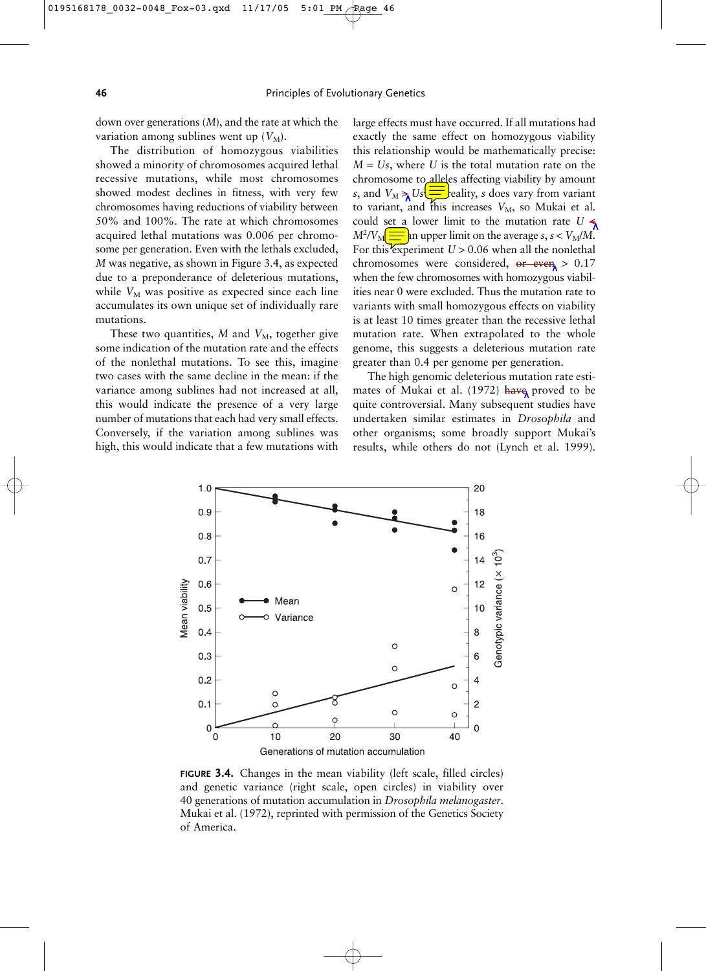down over generations (*M*), and the rate at which the variation among sublines went up  $(V_M)$ .

The distribution of homozygous viabilities showed a minority of chromosomes acquired lethal recessive mutations, while most chromosomes showed modest declines in fitness, with very few chromosomes having reductions of viability between 50% and 100%. The rate at which chromosomes acquired lethal mutations was 0.006 per chromosome per generation. Even with the lethals excluded, *M* was negative, as shown in Figure 3.4, as expected due to a preponderance of deleterious mutations, while  $V_M$  was positive as expected since each line accumulates its own unique set of individually rare mutations.

These two quantities,  $M$  and  $V_M$ , together give some indication of the mutation rate and the effects of the nonlethal mutations. To see this, imagine two cases with the same decline in the mean: if the variance among sublines had not increased at all, this would indicate the presence of a very large number of mutations that each had very small effects. Conversely, if the variation among sublines was high, this would indicate that a few mutations with

large effects must have occurred. If all mutations had exactly the same effect on homozygous viability this relationship would be mathematically precise:  $M = Us$ , where U is the total mutation rate on the chromosome to alleles affecting viability by amount *s*, and  $V_M \ge 0$   $\sum_{n=1}^{\infty}$  eality, *s* does vary from variant to variant, and this increases  $V_M$ , so Mukai et al. could set a lower limit to the mutation rate  $U \leq \frac{1}{2}$  $M^2/V_M \right| \equiv \text{sn upper limit on the average } s, s < V_M/M.$ For this experiment  $U > 0.06$  when all the nonlethal chromosomes were considered,  $er\leftarrow even$  > 0.17 when the few chromosomes with homozygous viabilities near 0 were excluded. Thus the mutation rate to variants with small homozygous effects on viability is at least 10 times greater than the recessive lethal mutation rate. When extrapolated to the whole genome, this suggests a deleterious mutation rate greater than 0.4 per genome per generation.

The high genomic deleterious mutation rate estimates of Mukai et al. (1972) have proved to be quite controversial. Many subsequent studies have undertaken similar estimates in *Drosophila* and other organisms; some broadly support Mukai's results, while others do not (Lynch et al. 1999).



**FIGURE 3.4.** Changes in the mean viability (left scale, filled circles) and genetic variance (right scale, open circles) in viability over 40 generations of mutation accumulation in *Drosophila melanogaster*. Mukai et al. (1972), reprinted with permission of the Genetics Society of America.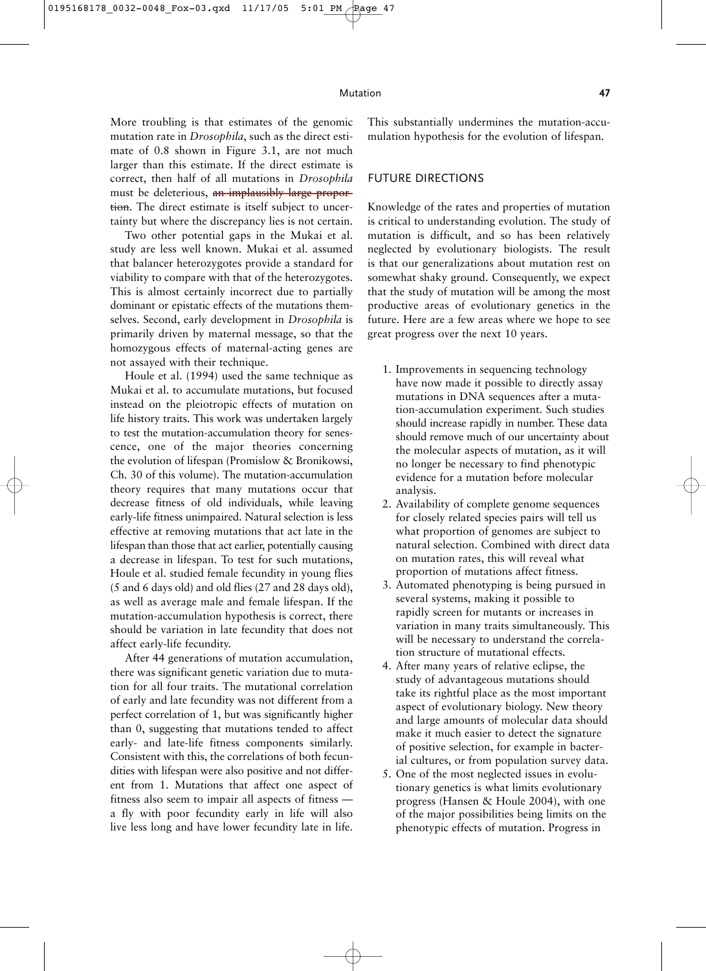More troubling is that estimates of the genomic mutation rate in *Drosophila*, such as the direct estimate of 0.8 shown in Figure 3.1, are not much larger than this estimate. If the direct estimate is correct, then half of all mutations in *Drosophila* must be deleterious, an implausibly large proportion. The direct estimate is itself subject to uncertainty but where the discrepancy lies is not certain.

Two other potential gaps in the Mukai et al. study are less well known. Mukai et al. assumed that balancer heterozygotes provide a standard for viability to compare with that of the heterozygotes. This is almost certainly incorrect due to partially dominant or epistatic effects of the mutations themselves. Second, early development in *Drosophila* is primarily driven by maternal message, so that the homozygous effects of maternal-acting genes are not assayed with their technique.

Houle et al. (1994) used the same technique as Mukai et al. to accumulate mutations, but focused instead on the pleiotropic effects of mutation on life history traits. This work was undertaken largely to test the mutation-accumulation theory for senescence, one of the major theories concerning the evolution of lifespan (Promislow & Bronikowsi, Ch. 30 of this volume). The mutation-accumulation theory requires that many mutations occur that decrease fitness of old individuals, while leaving early-life fitness unimpaired. Natural selection is less effective at removing mutations that act late in the lifespan than those that act earlier, potentially causing a decrease in lifespan. To test for such mutations, Houle et al. studied female fecundity in young flies (5 and 6 days old) and old flies (27 and 28 days old), as well as average male and female lifespan. If the mutation-accumulation hypothesis is correct, there should be variation in late fecundity that does not affect early-life fecundity.

After 44 generations of mutation accumulation, there was significant genetic variation due to mutation for all four traits. The mutational correlation of early and late fecundity was not different from a perfect correlation of 1, but was significantly higher than 0, suggesting that mutations tended to affect early- and late-life fitness components similarly. Consistent with this, the correlations of both fecundities with lifespan were also positive and not different from 1. Mutations that affect one aspect of fitness also seem to impair all aspects of fitness –– a fly with poor fecundity early in life will also live less long and have lower fecundity late in life.

This substantially undermines the mutation-accumulation hypothesis for the evolution of lifespan.

#### FUTURE DIRECTIONS

Knowledge of the rates and properties of mutation is critical to understanding evolution. The study of mutation is difficult, and so has been relatively neglected by evolutionary biologists. The result is that our generalizations about mutation rest on somewhat shaky ground. Consequently, we expect that the study of mutation will be among the most productive areas of evolutionary genetics in the future. Here are a few areas where we hope to see great progress over the next 10 years.

- 1. Improvements in sequencing technology have now made it possible to directly assay mutations in DNA sequences after a mutation-accumulation experiment. Such studies should increase rapidly in number. These data should remove much of our uncertainty about the molecular aspects of mutation, as it will no longer be necessary to find phenotypic evidence for a mutation before molecular analysis.
- 2. Availability of complete genome sequences for closely related species pairs will tell us what proportion of genomes are subject to natural selection. Combined with direct data on mutation rates, this will reveal what proportion of mutations affect fitness.
- 3. Automated phenotyping is being pursued in several systems, making it possible to rapidly screen for mutants or increases in variation in many traits simultaneously. This will be necessary to understand the correlation structure of mutational effects.
- 4. After many years of relative eclipse, the study of advantageous mutations should take its rightful place as the most important aspect of evolutionary biology. New theory and large amounts of molecular data should make it much easier to detect the signature of positive selection, for example in bacterial cultures, or from population survey data.
- 5. One of the most neglected issues in evolutionary genetics is what limits evolutionary progress (Hansen & Houle 2004), with one of the major possibilities being limits on the phenotypic effects of mutation. Progress in